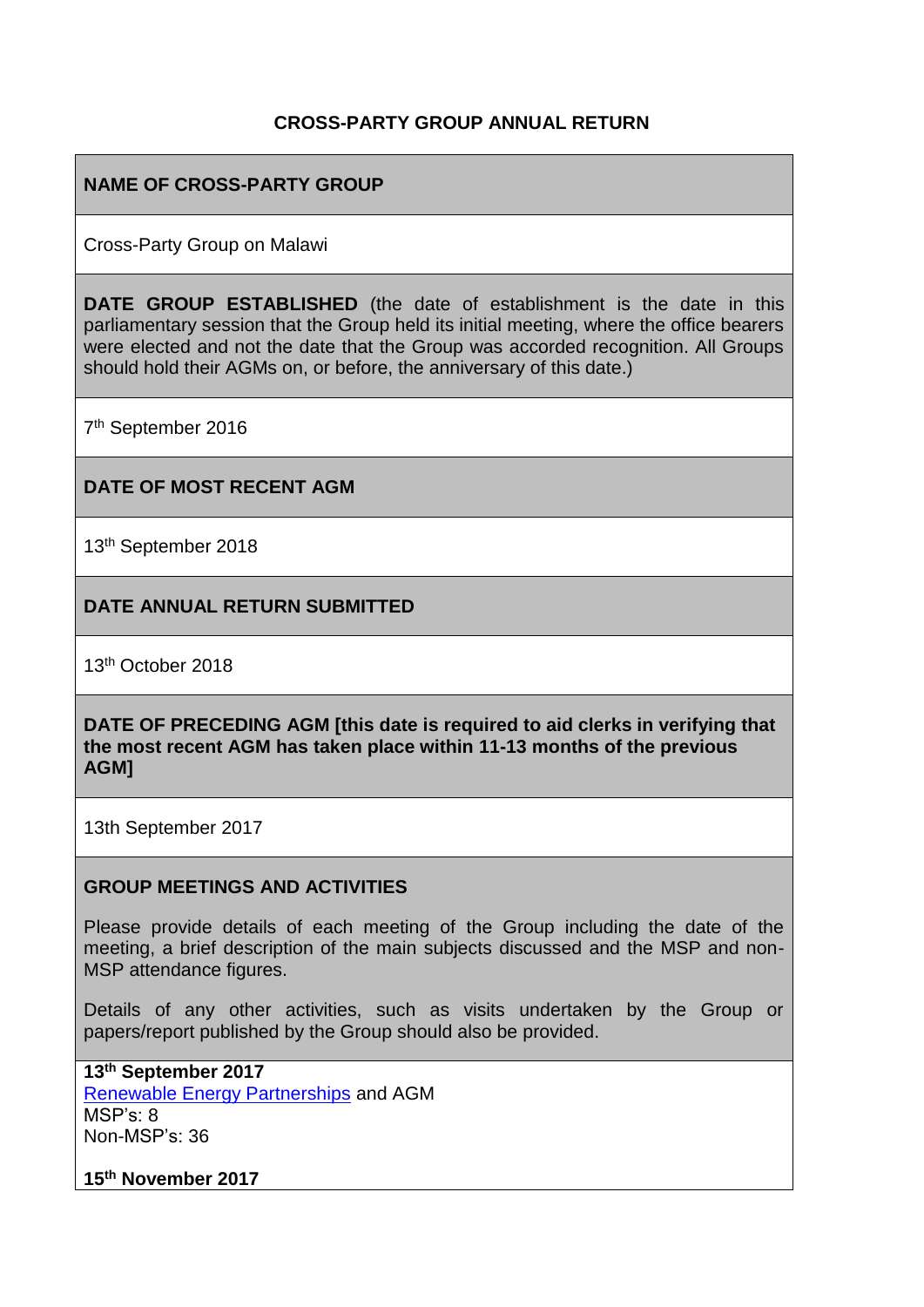#### **CROSS-PARTY GROUP ANNUAL RETURN**

#### **NAME OF CROSS-PARTY GROUP**

Cross-Party Group on Malawi

**DATE GROUP ESTABLISHED** (the date of establishment is the date in this parliamentary session that the Group held its initial meeting, where the office bearers were elected and not the date that the Group was accorded recognition. All Groups should hold their AGMs on, or before, the anniversary of this date.)

7<sup>th</sup> September 2016

#### **DATE OF MOST RECENT AGM**

13th September 2018

**DATE ANNUAL RETURN SUBMITTED**

13th October 2018

**DATE OF PRECEDING AGM [this date is required to aid clerks in verifying that the most recent AGM has taken place within 11-13 months of the previous AGM]**

13th September 2017

#### **GROUP MEETINGS AND ACTIVITIES**

Please provide details of each meeting of the Group including the date of the meeting, a brief description of the main subjects discussed and the MSP and non-MSP attendance figures.

Details of any other activities, such as visits undertaken by the Group or papers/report published by the Group should also be provided.

**13th September 2017** [Renewable Energy Partnerships](http://scotland-malawipartnership.org/news-events/past-events/cross-party-group-renewable-energy-partnerships/) and AGM MSP's: 8 Non-MSP's: 36

**15th November 2017**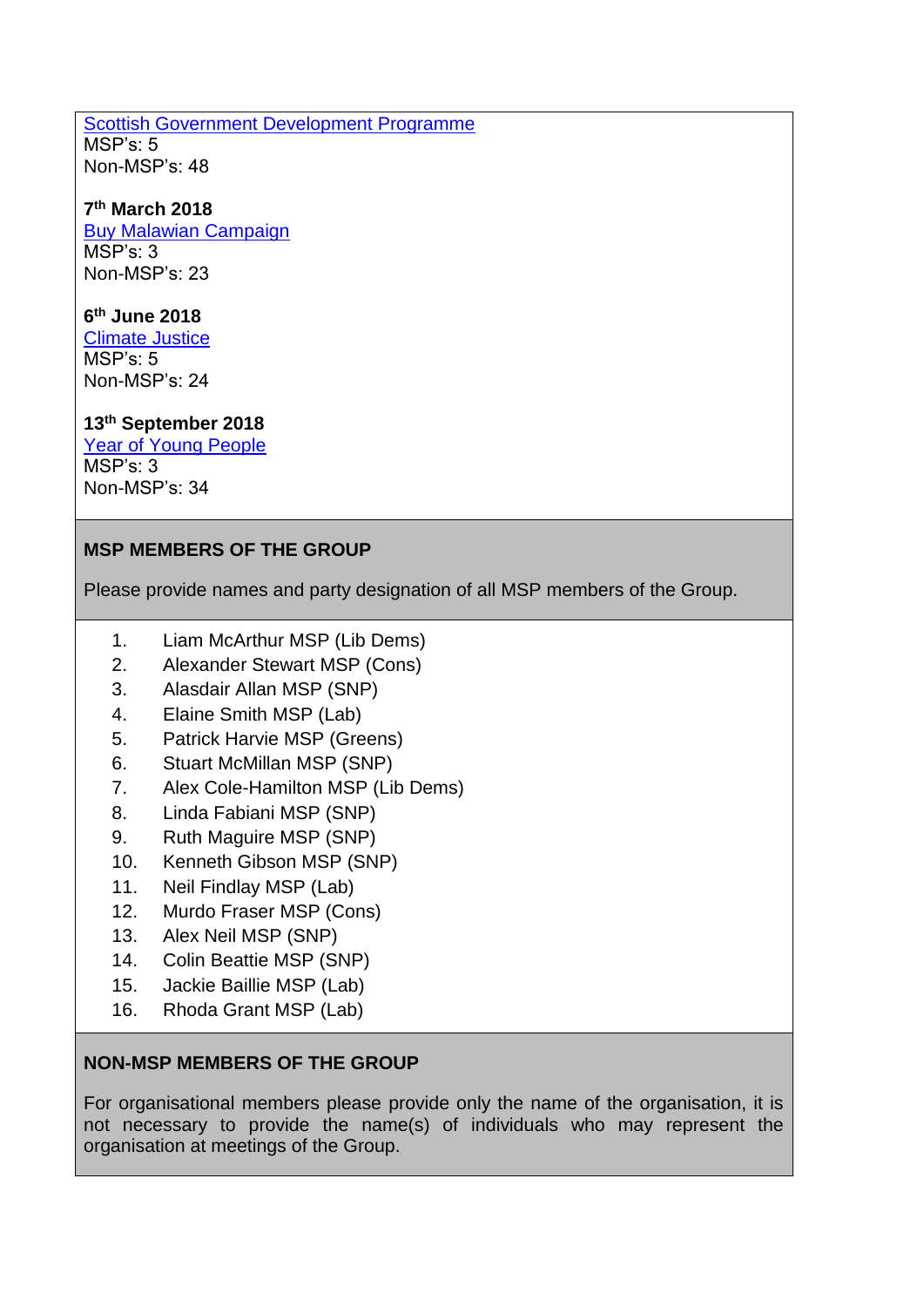#### [Scottish Government Development Programme](http://scotland-malawipartnership.org/news-events/past-events/cpg-on-malawi-the-malawi-development-programme/) MSP's: 5

Non-MSP's: 48

# **7 th March 2018**

[Buy Malawian Campaign](http://scotland-malawipartnership.org/news-events/past-events/cpg-buy-malawian/) MSP's: 3 Non-MSP's: 23

# **6 th June 2018**

[Climate Justice](http://scotland-malawipartnership.org/news-events/past-events/cpg-on-malawi1/) MSP's: 5 Non-MSP's: 24

# **13th September 2018**

[Year of Young People](http://scotland-malawipartnership.org/news-events/past-events/cpg-malawi-agm/)  $MSP's: 3$ Non-MSP's: 34

# **MSP MEMBERS OF THE GROUP**

Please provide names and party designation of all MSP members of the Group.

- 1. Liam McArthur MSP (Lib Dems)
- 2. Alexander Stewart MSP (Cons)
- 3. Alasdair Allan MSP (SNP)
- 4. Elaine Smith MSP (Lab)
- 5. Patrick Harvie MSP (Greens)
- 6. Stuart McMillan MSP (SNP)
- 7. Alex Cole-Hamilton MSP (Lib Dems)
- 8. Linda Fabiani MSP (SNP)
- 9. Ruth Maguire MSP (SNP)
- 10. Kenneth Gibson MSP (SNP)
- 11. Neil Findlay MSP (Lab)
- 12. Murdo Fraser MSP (Cons)
- 13. Alex Neil MSP (SNP)
- 14. Colin Beattie MSP (SNP)
- 15. Jackie Baillie MSP (Lab)
- 16. Rhoda Grant MSP (Lab)

# **NON-MSP MEMBERS OF THE GROUP**

For organisational members please provide only the name of the organisation, it is not necessary to provide the name(s) of individuals who may represent the organisation at meetings of the Group.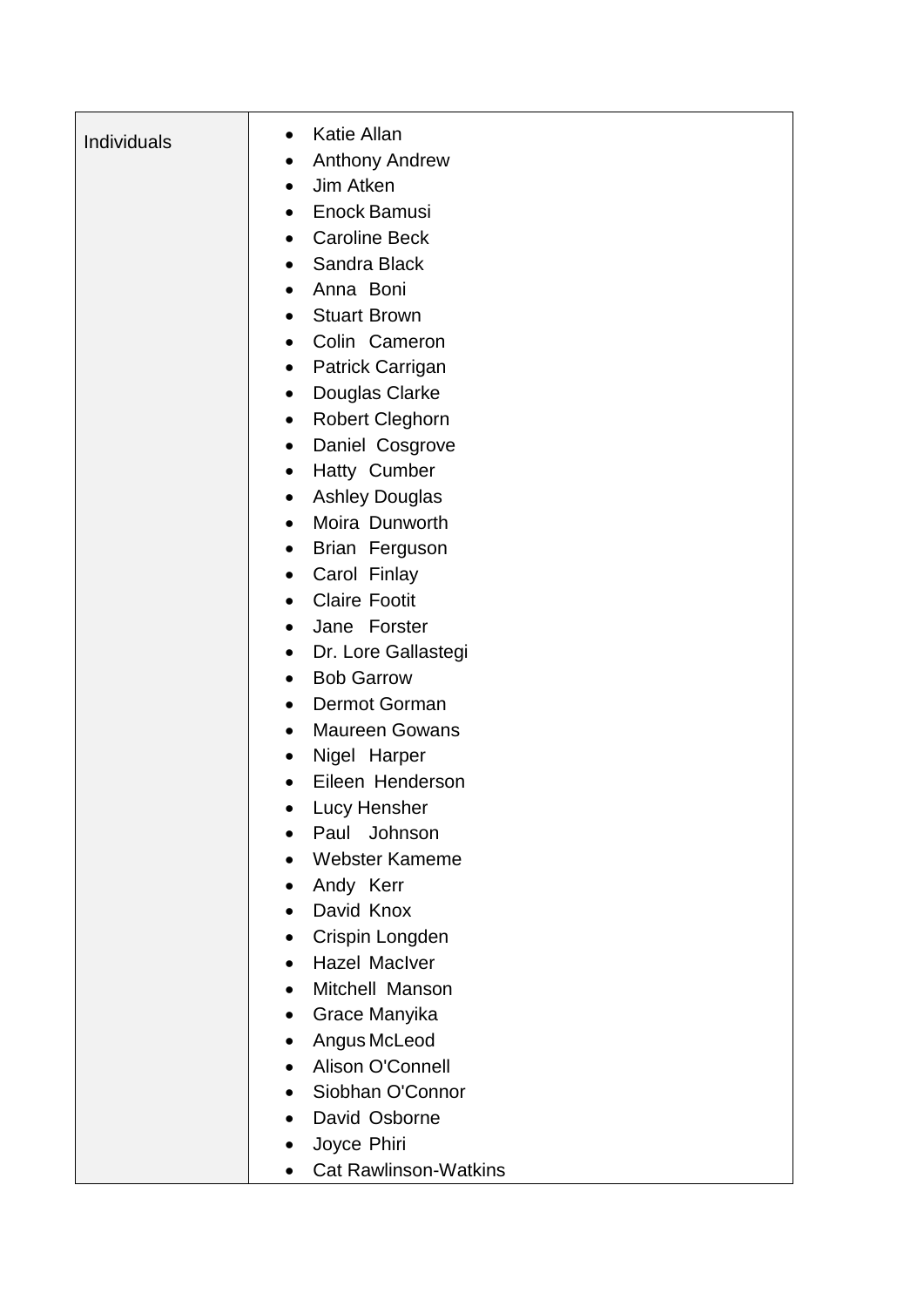| Individuals | <b>Katie Allan</b><br>$\bullet$           |
|-------------|-------------------------------------------|
|             | <b>Anthony Andrew</b><br>$\bullet$        |
|             | Jim Atken<br>$\bullet$                    |
|             | Enock Bamusi<br>$\bullet$                 |
|             | <b>Caroline Beck</b><br>$\bullet$         |
|             | Sandra Black<br>$\bullet$                 |
|             | Anna Boni<br>$\bullet$                    |
|             | <b>Stuart Brown</b><br>$\bullet$          |
|             | Colin Cameron<br>$\bullet$                |
|             | Patrick Carrigan<br>$\bullet$             |
|             | Douglas Clarke<br>$\bullet$               |
|             | <b>Robert Cleghorn</b><br>$\bullet$       |
|             | Daniel Cosgrove<br>$\bullet$              |
|             | Hatty Cumber<br>$\bullet$                 |
|             | <b>Ashley Douglas</b><br>$\bullet$        |
|             | Moira Dunworth<br>$\bullet$               |
|             | Brian Ferguson<br>$\bullet$               |
|             | Carol Finlay<br>$\bullet$                 |
|             | <b>Claire Footit</b><br>$\bullet$         |
|             | Jane Forster<br>$\bullet$                 |
|             | Dr. Lore Gallastegi<br>$\bullet$          |
|             | <b>Bob Garrow</b><br>$\bullet$            |
|             | Dermot Gorman<br>$\bullet$                |
|             | <b>Maureen Gowans</b><br>$\bullet$        |
|             | Nigel Harper<br>$\bullet$                 |
|             | Eileen Henderson                          |
|             | Lucy Hensher                              |
|             | Paul Johnson                              |
|             | <b>Webster Kameme</b>                     |
|             | Andy Kerr                                 |
|             | David Knox                                |
|             | Crispin Longden                           |
|             | <b>Hazel Maclver</b><br>$\bullet$         |
|             | Mitchell Manson<br>$\bullet$              |
|             | Grace Manyika<br>$\bullet$                |
|             | Angus McLeod<br>$\bullet$                 |
|             | Alison O'Connell<br>$\bullet$             |
|             | Siobhan O'Connor                          |
|             | David Osborne                             |
|             | Joyce Phiri                               |
|             | <b>Cat Rawlinson-Watkins</b><br>$\bullet$ |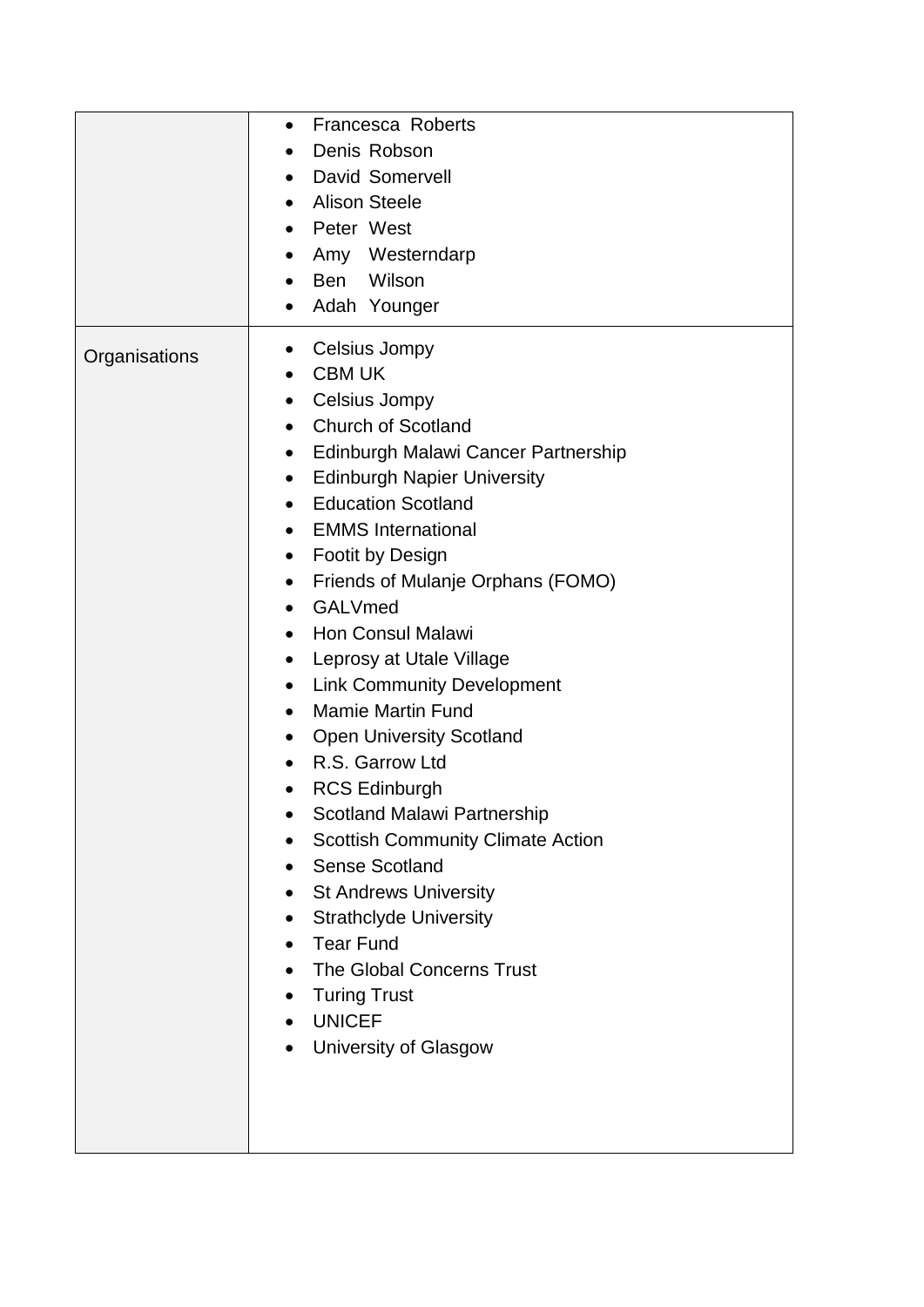|               | Francesca Roberts<br>$\bullet$<br>Denis Robson<br><b>David Somervell</b><br>$\bullet$<br><b>Alison Steele</b><br>$\bullet$<br>Peter West<br>$\bullet$<br>Amy Westerndarp<br>Wilson<br>Ben<br>Adah Younger<br>$\bullet$                                                                                                                                                                                                                                                                                                                                                                                                                                                                                                                                                                                                                                                                                                                                                                                                                                                                  |
|---------------|-----------------------------------------------------------------------------------------------------------------------------------------------------------------------------------------------------------------------------------------------------------------------------------------------------------------------------------------------------------------------------------------------------------------------------------------------------------------------------------------------------------------------------------------------------------------------------------------------------------------------------------------------------------------------------------------------------------------------------------------------------------------------------------------------------------------------------------------------------------------------------------------------------------------------------------------------------------------------------------------------------------------------------------------------------------------------------------------|
| Organisations | Celsius Jompy<br>$\bullet$<br><b>CBM UK</b><br>$\bullet$<br>Celsius Jompy<br>$\bullet$<br><b>Church of Scotland</b><br>$\bullet$<br>Edinburgh Malawi Cancer Partnership<br>$\bullet$<br><b>Edinburgh Napier University</b><br>$\bullet$<br><b>Education Scotland</b><br>$\bullet$<br><b>EMMS</b> International<br>$\bullet$<br><b>Footit by Design</b><br>$\bullet$<br>Friends of Mulanje Orphans (FOMO)<br>$\bullet$<br>GALVmed<br>$\bullet$<br><b>Hon Consul Malawi</b><br>$\bullet$<br>Leprosy at Utale Village<br>$\bullet$<br><b>Link Community Development</b><br>$\bullet$<br><b>Mamie Martin Fund</b><br>$\bullet$<br><b>Open University Scotland</b><br>$\bullet$<br>R.S. Garrow Ltd<br><b>RCS Edinburgh</b><br>$\bullet$<br><b>Scotland Malawi Partnership</b><br><b>Scottish Community Climate Action</b><br><b>Sense Scotland</b><br>$\bullet$<br>• St Andrews University<br><b>Strathclyde University</b><br>$\bullet$<br>• Tear Fund<br>The Global Concerns Trust<br><b>Turing Trust</b><br>$\bullet$<br><b>UNICEF</b><br>$\bullet$<br>University of Glasgow<br>$\bullet$ |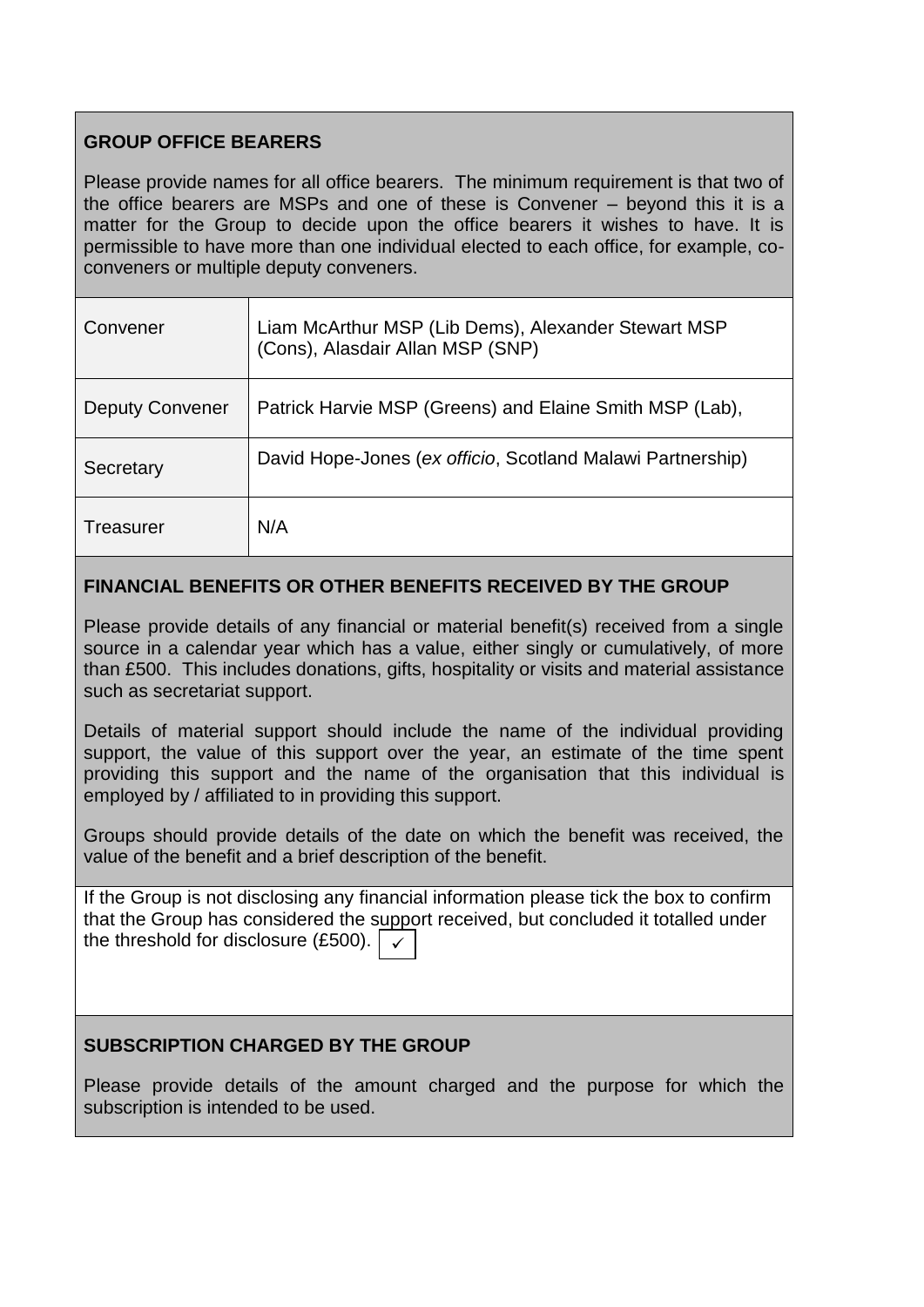# **GROUP OFFICE BEARERS**

Please provide names for all office bearers. The minimum requirement is that two of the office bearers are MSPs and one of these is Convener – beyond this it is a matter for the Group to decide upon the office bearers it wishes to have. It is permissible to have more than one individual elected to each office, for example, coconveners or multiple deputy conveners.

| Convener               | Liam McArthur MSP (Lib Dems), Alexander Stewart MSP<br>(Cons), Alasdair Allan MSP (SNP) |
|------------------------|-----------------------------------------------------------------------------------------|
| <b>Deputy Convener</b> | Patrick Harvie MSP (Greens) and Elaine Smith MSP (Lab),                                 |
| Secretary              | David Hope-Jones (ex officio, Scotland Malawi Partnership)                              |
| Treasurer              | N/A                                                                                     |

#### **FINANCIAL BENEFITS OR OTHER BENEFITS RECEIVED BY THE GROUP**

Please provide details of any financial or material benefit(s) received from a single source in a calendar year which has a value, either singly or cumulatively, of more than £500. This includes donations, gifts, hospitality or visits and material assistance such as secretariat support.

Details of material support should include the name of the individual providing support, the value of this support over the year, an estimate of the time spent providing this support and the name of the organisation that this individual is employed by / affiliated to in providing this support.

Groups should provide details of the date on which the benefit was received, the value of the benefit and a brief description of the benefit.

If the Group is not disclosing any financial information please tick the box to confirm that the Group has considered the support received, but concluded it totalled under the threshold for disclosure (£500). ✓

### **SUBSCRIPTION CHARGED BY THE GROUP**

Please provide details of the amount charged and the purpose for which the subscription is intended to be used.